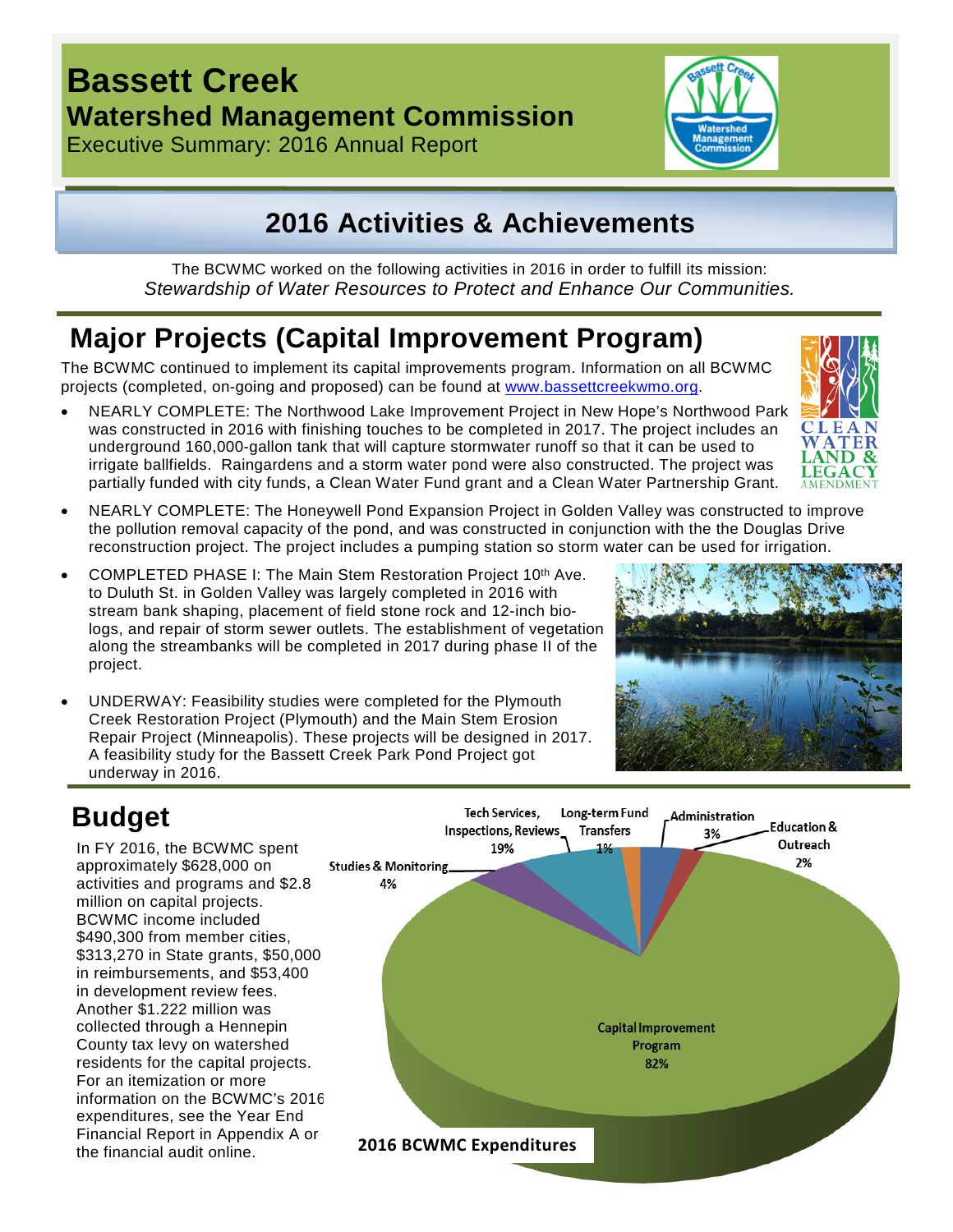## **Bassett Creek Watershed Management Commission**

Executive Summary: 2016 Annual Report

## **2016 Activities & Achievements**

The BCWMC worked on the following activities in 2016 in order to fulfill its mission: *Stewardship of Water Resources to Protect and Enhance Our Communities.*

# **Major Projects (Capital Improvement Program)**

The BCWMC continued to implement its capital improvements program. Information on all BCWMC projects (completed, on-going and proposed) can be found at [www.bassettcreekwmo.org.](http://www.bassettcreekwmo.org/)

- NEARLY COMPLETE: The Northwood Lake Improvement Project in New Hope's Northwood Park was constructed in 2016 with finishing touches to be completed in 2017. The project includes an underground 160,000-gallon tank that will capture stormwater runoff so that it can be used to irrigate ballfields. Raingardens and a storm water pond were also constructed. The project was partially funded with city funds, a Clean Water Fund grant and a Clean Water Partnership Grant.
- NEARLY COMPLETE: The Honeywell Pond Expansion Project in Golden Valley was constructed to improve the pollution removal capacity of the pond, and was constructed in conjunction with the the Douglas Drive reconstruction project. The project includes a pumping station so storm water can be used for irrigation.
- COMPLETED PHASE I: The Main Stem Restoration Project 10th Ave. to Duluth St. in Golden Valley was largely completed in 2016 with stream bank shaping, placement of field stone rock and 12-inch biologs, and repair of storm sewer outlets. The establishment of vegetation along the streambanks will be completed in 2017 during phase II of the project.
- UNDERWAY: Feasibility studies were completed for the Plymouth Creek Restoration Project (Plymouth) and the Main Stem Erosion Repair Project (Minneapolis). These projects will be designed in 2017. A feasibility study for the Bassett Creek Park Pond Project got underway in 2016.



In FY 2016, the BCWMC spent approximately \$628,000 on activities and programs and \$2.8 million on capital projects. BCWMC income included \$490,300 from member cities, \$313,270 in State grants, \$50,000 in reimbursements, and \$53,400 in development review fees. Another \$1.222 million was collected through a Hennepin County tax levy on watershed residents for the capital projects. For an itemization or more information on the BCWMC's 2016 expenditures, see the Year End Financial Report in Appendix A or the financial audit online.

#### **Tech Services,** Long-term Fund Administration **Inspections, Reviews Transfers** 3% 19% **Studies & Monitoring** 4%



Education &

Outreach

2%





**2016 BCWMC Expenditures**